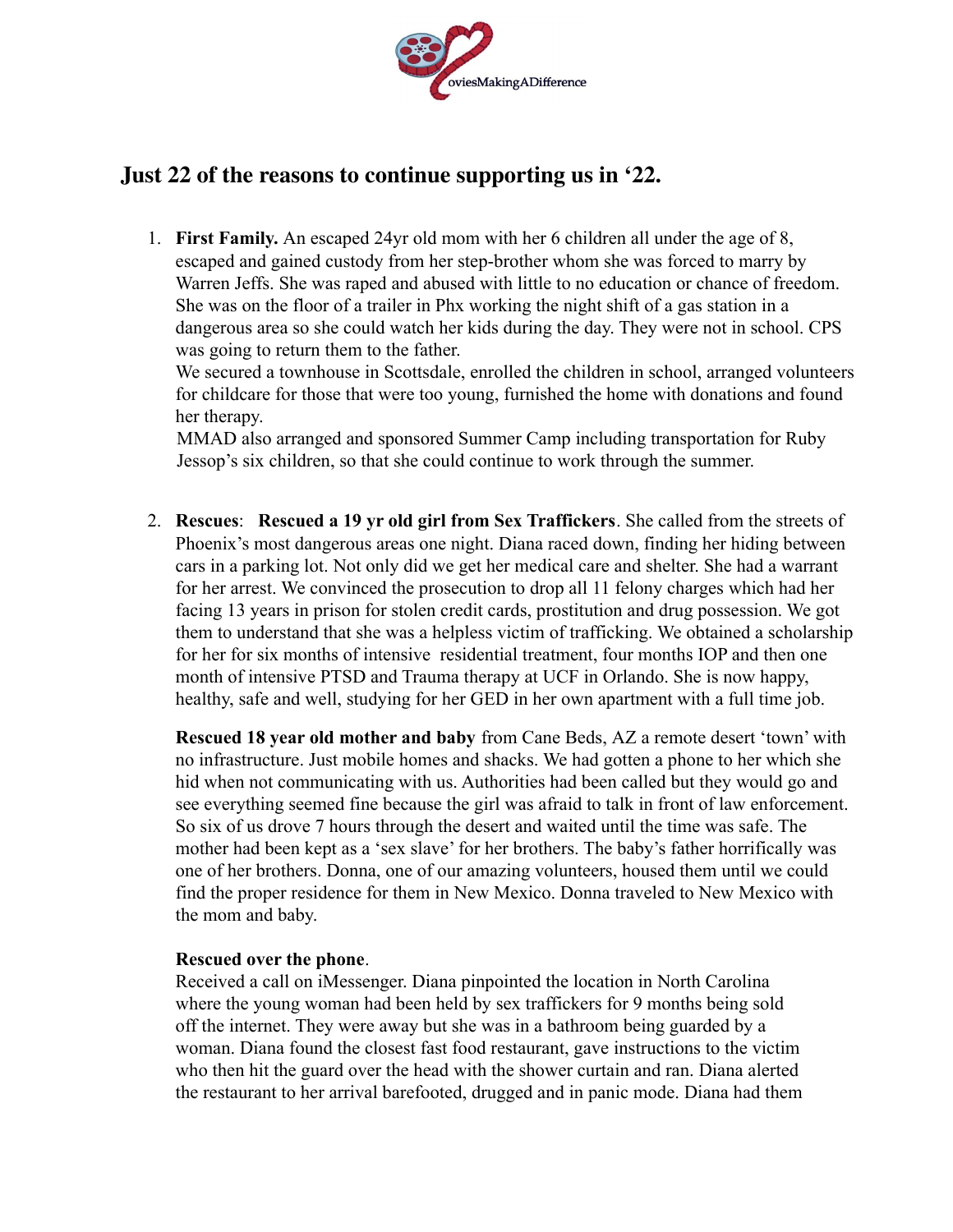

## **Just 22 of the reasons to continue supporting us in '22.**

1. **First Family.** An escaped 24yr old mom with her 6 children all under the age of 8, escaped and gained custody from her step-brother whom she was forced to marry by Warren Jeffs. She was raped and abused with little to no education or chance of freedom. She was on the floor of a trailer in Phx working the night shift of a gas station in a dangerous area so she could watch her kids during the day. They were not in school. CPS was going to return them to the father.

We secured a townhouse in Scottsdale, enrolled the children in school, arranged volunteers for childcare for those that were too young, furnished the home with donations and found her therapy.

MMAD also arranged and sponsored Summer Camp including transportation for Ruby Jessop's six children, so that she could continue to work through the summer.

2. **Rescues**: **Rescued a 19 yr old girl from Sex Traffickers**. She called from the streets of Phoenix's most dangerous areas one night. Diana raced down, finding her hiding between cars in a parking lot. Not only did we get her medical care and shelter. She had a warrant for her arrest. We convinced the prosecution to drop all 11 felony charges which had her facing 13 years in prison for stolen credit cards, prostitution and drug possession. We got them to understand that she was a helpless victim of trafficking. We obtained a scholarship for her for six months of intensive residential treatment, four months IOP and then one month of intensive PTSD and Trauma therapy at UCF in Orlando. She is now happy, healthy, safe and well, studying for her GED in her own apartment with a full time job.

**Rescued 18 year old mother and baby** from Cane Beds, AZ a remote desert 'town' with no infrastructure. Just mobile homes and shacks. We had gotten a phone to her which she hid when not communicating with us. Authorities had been called but they would go and see everything seemed fine because the girl was afraid to talk in front of law enforcement. So six of us drove 7 hours through the desert and waited until the time was safe. The mother had been kept as a 'sex slave' for her brothers. The baby's father horrifically was one of her brothers. Donna, one of our amazing volunteers, housed them until we could find the proper residence for them in New Mexico. Donna traveled to New Mexico with the mom and baby.

## **Rescued over the phone**.

Received a call on iMessenger. Diana pinpointed the location in North Carolina where the young woman had been held by sex traffickers for 9 months being sold off the internet. They were away but she was in a bathroom being guarded by a woman. Diana found the closest fast food restaurant, gave instructions to the victim who then hit the guard over the head with the shower curtain and ran. Diana alerted the restaurant to her arrival barefooted, drugged and in panic mode. Diana had them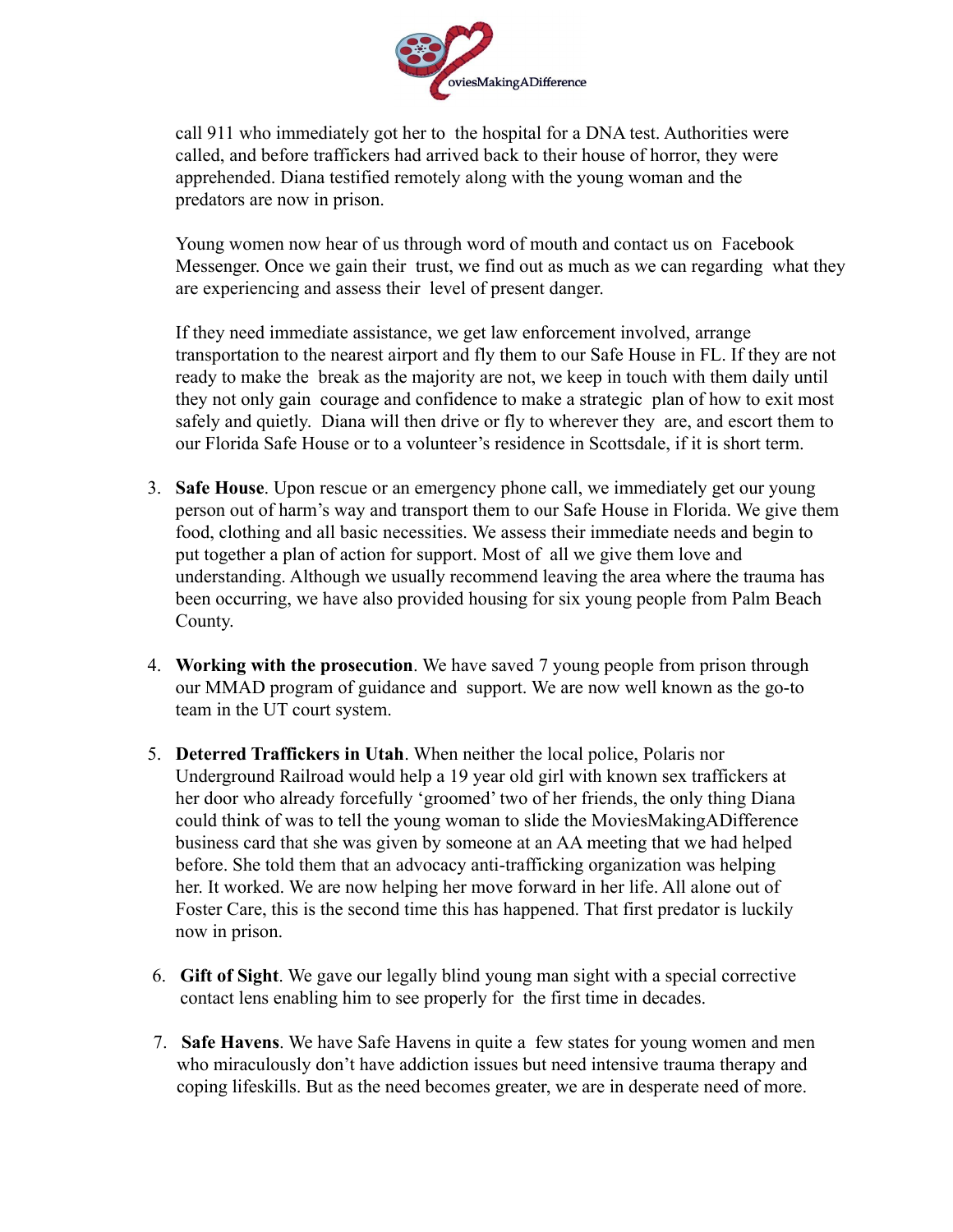

call 911 who immediately got her to the hospital for a DNA test. Authorities were called, and before traffickers had arrived back to their house of horror, they were apprehended. Diana testified remotely along with the young woman and the predators are now in prison.

Young women now hear of us through word of mouth and contact us on Facebook Messenger. Once we gain their trust, we find out as much as we can regarding what they are experiencing and assess their level of present danger.

If they need immediate assistance, we get law enforcement involved, arrange transportation to the nearest airport and fly them to our Safe House in FL. If they are not ready to make the break as the majority are not, we keep in touch with them daily until they not only gain courage and confidence to make a strategic plan of how to exit most safely and quietly. Diana will then drive or fly to wherever they are, and escort them to our Florida Safe House or to a volunteer's residence in Scottsdale, if it is short term.

- 3. **Safe House**. Upon rescue or an emergency phone call, we immediately get our young person out of harm's way and transport them to our Safe House in Florida. We give them food, clothing and all basic necessities. We assess their immediate needs and begin to put together a plan of action for support. Most of all we give them love and understanding. Although we usually recommend leaving the area where the trauma has been occurring, we have also provided housing for six young people from Palm Beach County.
- 4. **Working with the prosecution**. We have saved 7 young people from prison through our MMAD program of guidance and support. We are now well known as the go-to team in the UT court system.
- 5. **Deterred Traffickers in Utah**. When neither the local police, Polaris nor Underground Railroad would help a 19 year old girl with known sex traffickers at her door who already forcefully 'groomed' two of her friends, the only thing Diana could think of was to tell the young woman to slide the MoviesMakingADifference business card that she was given by someone at an AA meeting that we had helped before. She told them that an advocacy anti-trafficking organization was helping her. It worked. We are now helping her move forward in her life. All alone out of Foster Care, this is the second time this has happened. That first predator is luckily now in prison.
- 6. **Gift of Sight**. We gave our legally blind young man sight with a special corrective contact lens enabling him to see properly for the first time in decades.
- 7. **Safe Havens**. We have Safe Havens in quite a few states for young women and men who miraculously don't have addiction issues but need intensive trauma therapy and coping lifeskills. But as the need becomes greater, we are in desperate need of more.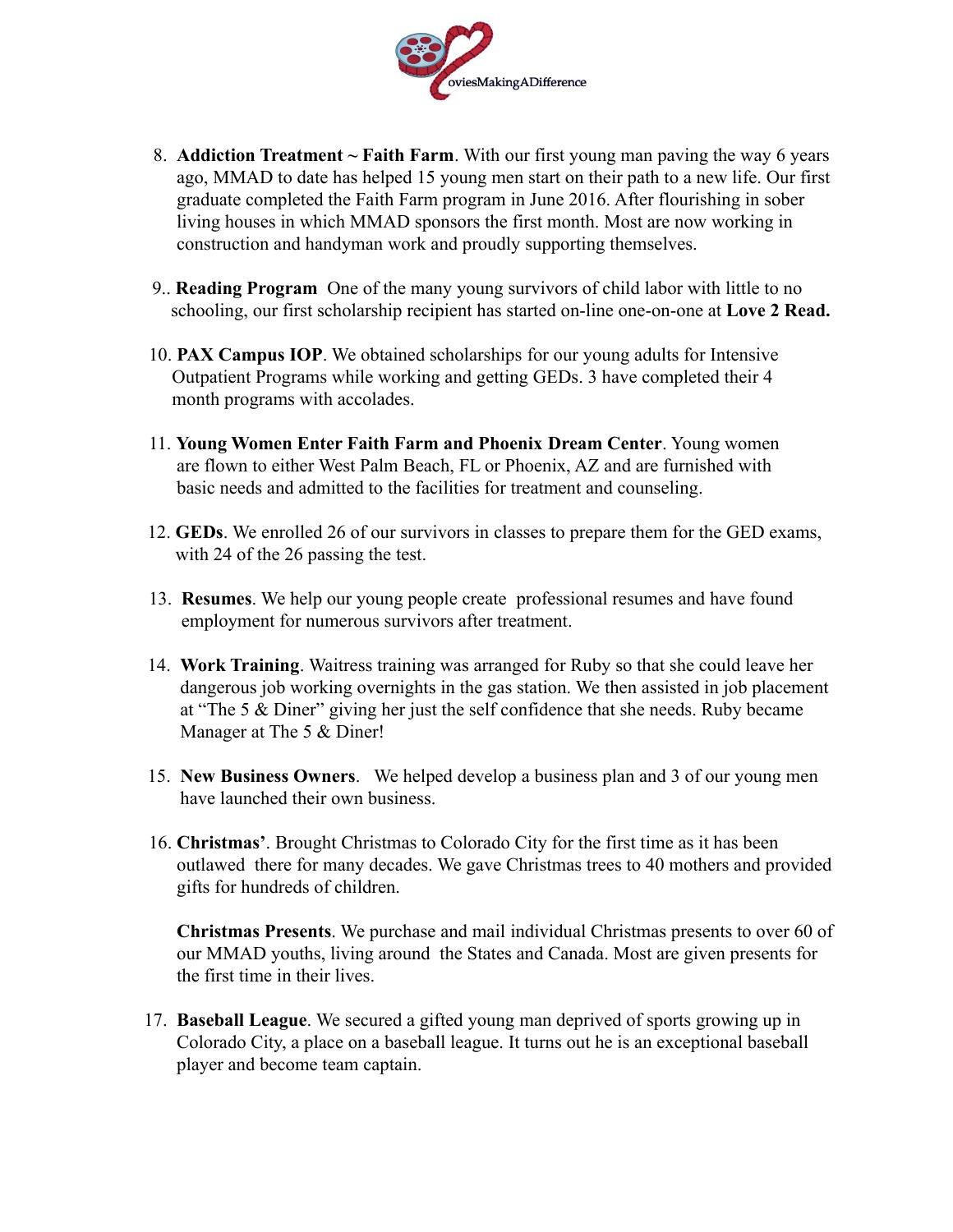

- 8. **Addiction Treatment ~ Faith Farm**. With our first young man paving the way 6 years ago, MMAD to date has helped 15 young men start on their path to a new life. Our first graduate completed the Faith Farm program in June 2016. After flourishing in sober living houses in which MMAD sponsors the first month. Most are now working in construction and handyman work and proudly supporting themselves.
- 9.. **Reading Program** One of the many young survivors of child labor with little to no schooling, our first scholarship recipient has started on-line one-on-one at **Love 2 Read.**
- 10. **PAX Campus IOP**. We obtained scholarships for our young adults for Intensive Outpatient Programs while working and getting GEDs. 3 have completed their 4 month programs with accolades.
- 11. **Young Women Enter Faith Farm and Phoenix Dream Center**. Young women are flown to either West Palm Beach, FL or Phoenix, AZ and are furnished with basic needs and admitted to the facilities for treatment and counseling.
- 12. **GEDs**. We enrolled 26 of our survivors in classes to prepare them for the GED exams, with 24 of the 26 passing the test.
- 13. **Resumes**. We help our young people create professional resumes and have found employment for numerous survivors after treatment.
- 14. **Work Training**. Waitress training was arranged for Ruby so that she could leave her dangerous job working overnights in the gas station. We then assisted in job placement at "The 5 & Diner" giving her just the self confidence that she needs. Ruby became Manager at The 5  $&$  Diner!
- 15. **New Business Owners**. We helped develop a business plan and 3 of our young men have launched their own business.
- 16. **Christmas'**. Brought Christmas to Colorado City for the first time as it has been outlawed there for many decades. We gave Christmas trees to 40 mothers and provided gifts for hundreds of children.

**Christmas Presents**. We purchase and mail individual Christmas presents to over 60 of our MMAD youths, living around the States and Canada. Most are given presents for the first time in their lives.

17. **Baseball League**. We secured a gifted young man deprived of sports growing up in Colorado City, a place on a baseball league. It turns out he is an exceptional baseball player and become team captain.